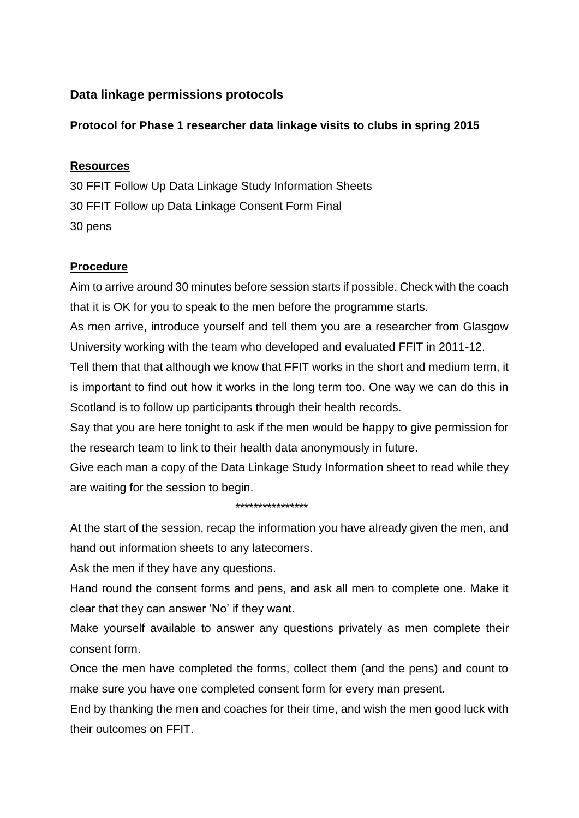# **Data linkage permissions protocols**

## **Protocol for Phase 1 researcher data linkage visits to clubs in spring 2015**

### **Resources**

30 FFIT Follow Up Data Linkage Study Information Sheets 30 FFIT Follow up Data Linkage Consent Form Final 30 pens

# **Procedure**

Aim to arrive around 30 minutes before session starts if possible. Check with the coach that it is OK for you to speak to the men before the programme starts.

As men arrive, introduce yourself and tell them you are a researcher from Glasgow University working with the team who developed and evaluated FFIT in 2011-12.

Tell them that that although we know that FFIT works in the short and medium term, it is important to find out how it works in the long term too. One way we can do this in Scotland is to follow up participants through their health records.

Say that you are here tonight to ask if the men would be happy to give permission for the research team to link to their health data anonymously in future.

Give each man a copy of the Data Linkage Study Information sheet to read while they are waiting for the session to begin.

#### \*\*\*\*\*\*\*\*\*\*\*\*\*\*\*\*

At the start of the session, recap the information you have already given the men, and hand out information sheets to any latecomers.

Ask the men if they have any questions.

Hand round the consent forms and pens, and ask all men to complete one. Make it clear that they can answer 'No' if they want.

Make yourself available to answer any questions privately as men complete their consent form.

Once the men have completed the forms, collect them (and the pens) and count to make sure you have one completed consent form for every man present.

End by thanking the men and coaches for their time, and wish the men good luck with their outcomes on FFIT.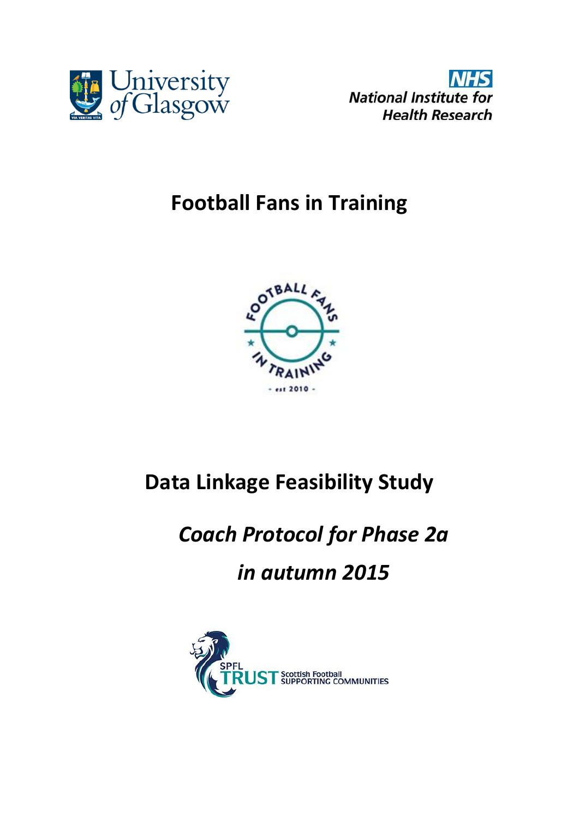



# **Football Fans in Training**



# **Data Linkage Feasibility Study**

# *Coach Protocol for Phase 2a in autumn 2015*

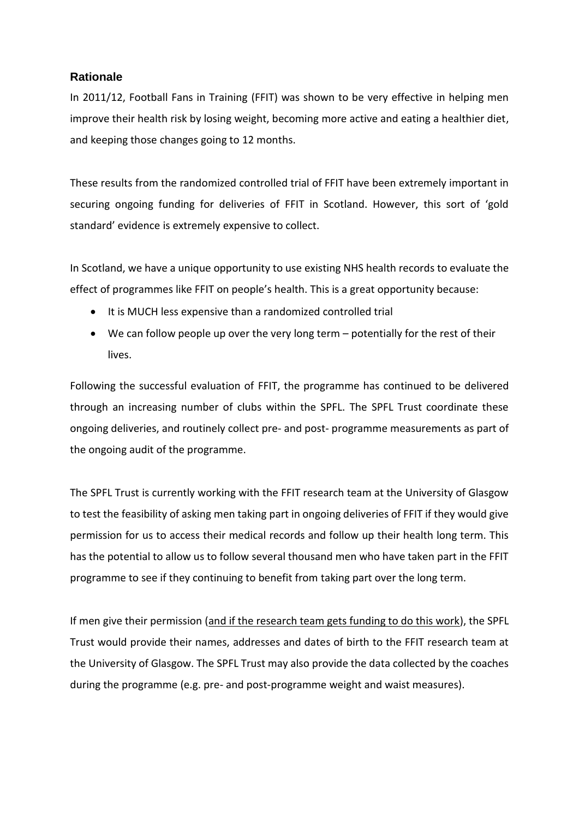#### **Rationale**

In 2011/12, Football Fans in Training (FFIT) was shown to be very effective in helping men improve their health risk by losing weight, becoming more active and eating a healthier diet, and keeping those changes going to 12 months.

These results from the randomized controlled trial of FFIT have been extremely important in securing ongoing funding for deliveries of FFIT in Scotland. However, this sort of 'gold standard' evidence is extremely expensive to collect.

In Scotland, we have a unique opportunity to use existing NHS health records to evaluate the effect of programmes like FFIT on people's health. This is a great opportunity because:

- It is MUCH less expensive than a randomized controlled trial
- We can follow people up over the very long term potentially for the rest of their lives.

Following the successful evaluation of FFIT, the programme has continued to be delivered through an increasing number of clubs within the SPFL. The SPFL Trust coordinate these ongoing deliveries, and routinely collect pre- and post- programme measurements as part of the ongoing audit of the programme.

The SPFL Trust is currently working with the FFIT research team at the University of Glasgow to test the feasibility of asking men taking part in ongoing deliveries of FFIT if they would give permission for us to access their medical records and follow up their health long term. This has the potential to allow us to follow several thousand men who have taken part in the FFIT programme to see if they continuing to benefit from taking part over the long term.

If men give their permission (and if the research team gets funding to do this work), the SPFL Trust would provide their names, addresses and dates of birth to the FFIT research team at the University of Glasgow. The SPFL Trust may also provide the data collected by the coaches during the programme (e.g. pre- and post-programme weight and waist measures).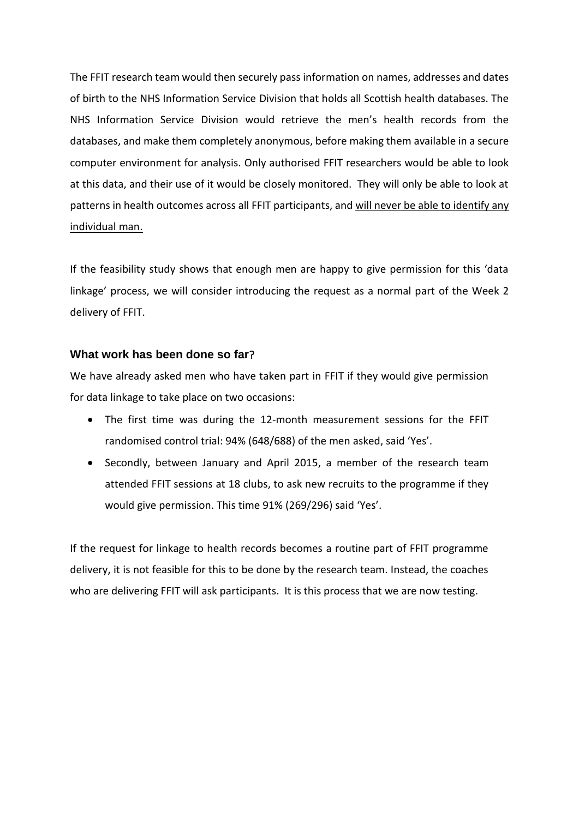The FFIT research team would then securely pass information on names, addresses and dates of birth to the NHS Information Service Division that holds all Scottish health databases. The NHS Information Service Division would retrieve the men's health records from the databases, and make them completely anonymous, before making them available in a secure computer environment for analysis. Only authorised FFIT researchers would be able to look at this data, and their use of it would be closely monitored. They will only be able to look at patterns in health outcomes across all FFIT participants, and will never be able to identify any individual man.

If the feasibility study shows that enough men are happy to give permission for this 'data linkage' process, we will consider introducing the request as a normal part of the Week 2 delivery of FFIT.

#### **What work has been done so far**?

We have already asked men who have taken part in FFIT if they would give permission for data linkage to take place on two occasions:

- The first time was during the 12-month measurement sessions for the FFIT randomised control trial: 94% (648/688) of the men asked, said 'Yes'.
- Secondly, between January and April 2015, a member of the research team attended FFIT sessions at 18 clubs, to ask new recruits to the programme if they would give permission. This time 91% (269/296) said 'Yes'.

If the request for linkage to health records becomes a routine part of FFIT programme delivery, it is not feasible for this to be done by the research team. Instead, the coaches who are delivering FFIT will ask participants. It is this process that we are now testing.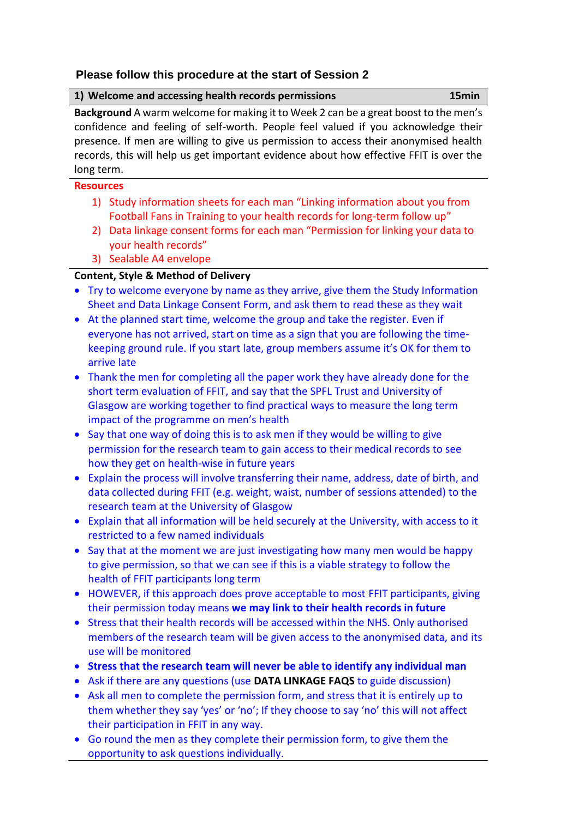#### **Please follow this procedure at the start of Session 2**

| 1) Welcome and accessing health records permissions                                    | 15min |
|----------------------------------------------------------------------------------------|-------|
| Background A warm welcome for making it to Week 2 can be a great boost to the men's    |       |
| confidence and feeling of self-worth. People feel valued if you acknowledge their      |       |
| presence. If men are willing to give us permission to access their anonymised health   |       |
| records, this will help us get important evidence about how effective FFIT is over the |       |
| long term.                                                                             |       |

#### **Resources**

- 1) Study information sheets for each man "Linking information about you from Football Fans in Training to your health records for long-term follow up"
- 2) Data linkage consent forms for each man "Permission for linking your data to your health records"
- 3) Sealable A4 envelope

### **Content, Style & Method of Delivery**

- Try to welcome everyone by name as they arrive, give them the Study Information Sheet and Data Linkage Consent Form, and ask them to read these as they wait
- At the planned start time, welcome the group and take the register. Even if everyone has not arrived, start on time as a sign that you are following the timekeeping ground rule. If you start late, group members assume it's OK for them to arrive late
- Thank the men for completing all the paper work they have already done for the short term evaluation of FFIT, and say that the SPFL Trust and University of Glasgow are working together to find practical ways to measure the long term impact of the programme on men's health
- Say that one way of doing this is to ask men if they would be willing to give permission for the research team to gain access to their medical records to see how they get on health-wise in future years
- Explain the process will involve transferring their name, address, date of birth, and data collected during FFIT (e.g. weight, waist, number of sessions attended) to the research team at the University of Glasgow
- Explain that all information will be held securely at the University, with access to it restricted to a few named individuals
- Say that at the moment we are just investigating how many men would be happy to give permission, so that we can see if this is a viable strategy to follow the health of FFIT participants long term
- HOWEVER, if this approach does prove acceptable to most FFIT participants, giving their permission today means **we may link to their health records in future**
- Stress that their health records will be accessed within the NHS. Only authorised members of the research team will be given access to the anonymised data, and its use will be monitored
- **Stress that the research team will never be able to identify any individual man**
- Ask if there are any questions (use **DATA LINKAGE FAQS** to guide discussion)
- Ask all men to complete the permission form, and stress that it is entirely up to them whether they say 'yes' or 'no'; If they choose to say 'no' this will not affect their participation in FFIT in any way.
- Go round the men as they complete their permission form, to give them the opportunity to ask questions individually.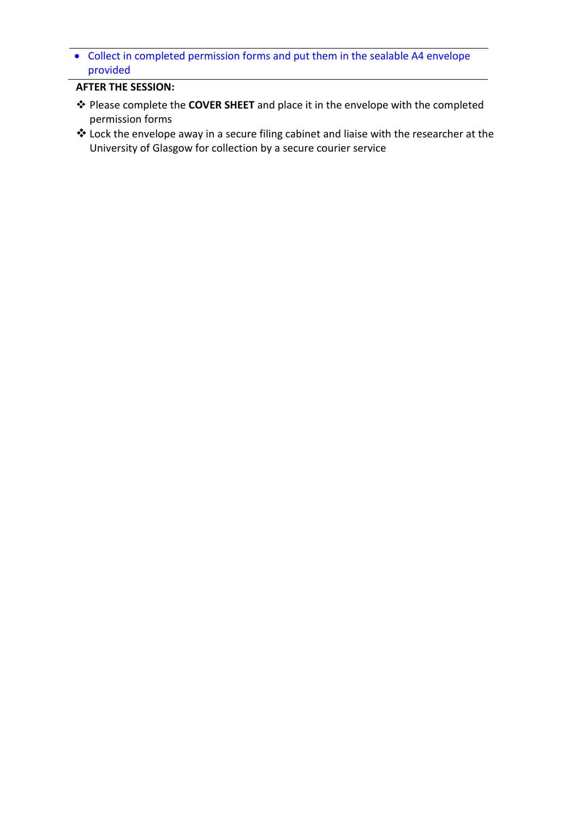Collect in completed permission forms and put them in the sealable A4 envelope provided

#### **AFTER THE SESSION:**

- Please complete the **COVER SHEET** and place it in the envelope with the completed permission forms
- Lock the envelope away in a secure filing cabinet and liaise with the researcher at the University of Glasgow for collection by a secure courier service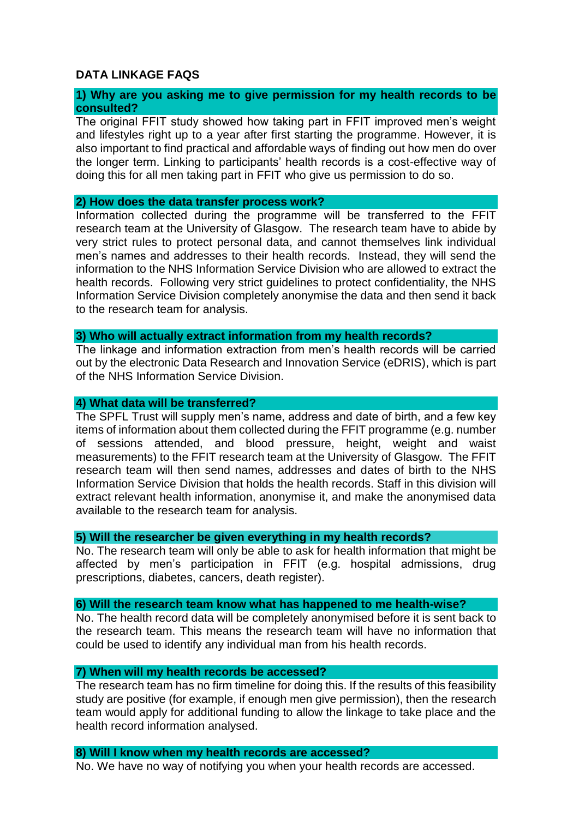#### **DATA LINKAGE FAQS**

#### **1) Why are you asking me to give permission for my health records to be consulted?**

The original FFIT study showed how taking part in FFIT improved men's weight and lifestyles right up to a year after first starting the programme. However, it is also important to find practical and affordable ways of finding out how men do over the longer term. Linking to participants' health records is a cost-effective way of doing this for all men taking part in FFIT who give us permission to do so.

#### **2) How does the data transfer process work?**

Information collected during the programme will be transferred to the FFIT research team at the University of Glasgow. The research team have to abide by very strict rules to protect personal data, and cannot themselves link individual men's names and addresses to their health records. Instead, they will send the information to the NHS Information Service Division who are allowed to extract the health records. Following very strict guidelines to protect confidentiality, the NHS Information Service Division completely anonymise the data and then send it back to the research team for analysis.

#### **3) Who will actually extract information from my health records?**

The linkage and information extraction from men's health records will be carried out by the electronic Data Research and Innovation Service (eDRIS), which is part of the NHS Information Service Division.

#### **4) What data will be transferred?**

The SPFL Trust will supply men's name, address and date of birth, and a few key items of information about them collected during the FFIT programme (e.g. number of sessions attended, and blood pressure, height, weight and waist measurements) to the FFIT research team at the University of Glasgow. The FFIT research team will then send names, addresses and dates of birth to the NHS Information Service Division that holds the health records. Staff in this division will extract relevant health information, anonymise it, and make the anonymised data available to the research team for analysis.

#### **5) Will the researcher be given everything in my health records?**

No. The research team will only be able to ask for health information that might be affected by men's participation in FFIT (e.g. hospital admissions, drug prescriptions, diabetes, cancers, death register).

#### **6) Will the research team know what has happened to me health-wise?**

No. The health record data will be completely anonymised before it is sent back to the research team. This means the research team will have no information that could be used to identify any individual man from his health records.

#### **7) When will my health records be accessed?**

The research team has no firm timeline for doing this. If the results of this feasibility study are positive (for example, if enough men give permission), then the research team would apply for additional funding to allow the linkage to take place and the health record information analysed.

#### **8) Will I know when my health records are accessed?**

No. We have no way of notifying you when your health records are accessed.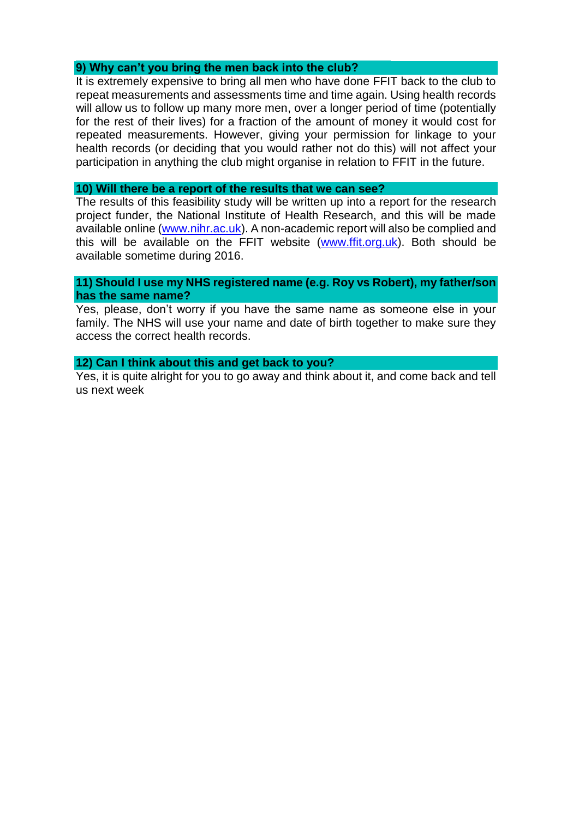#### **9) Why can't you bring the men back into the club?**

It is extremely expensive to bring all men who have done FFIT back to the club to repeat measurements and assessments time and time again. Using health records will allow us to follow up many more men, over a longer period of time (potentially for the rest of their lives) for a fraction of the amount of money it would cost for repeated measurements. However, giving your permission for linkage to your health records (or deciding that you would rather not do this) will not affect your participation in anything the club might organise in relation to FFIT in the future.

#### **10) Will there be a report of the results that we can see?**

The results of this feasibility study will be written up into a report for the research project funder, the National Institute of Health Research, and this will be made available online (www.nihr.ac.uk). A non-academic report will also be complied and this will be available on the FFIT website [\(www.ffit.org.uk\)](http://www.ffit.org.uk/). Both should be available sometime during 2016.

#### **11) Should I use my NHS registered name (e.g. Roy vs Robert), my father/son has the same name?**

Yes, please, don't worry if you have the same name as someone else in your family. The NHS will use your name and date of birth together to make sure they access the correct health records.

#### **12) Can I think about this and get back to you?**

Yes, it is quite alright for you to go away and think about it, and come back and tell us next week